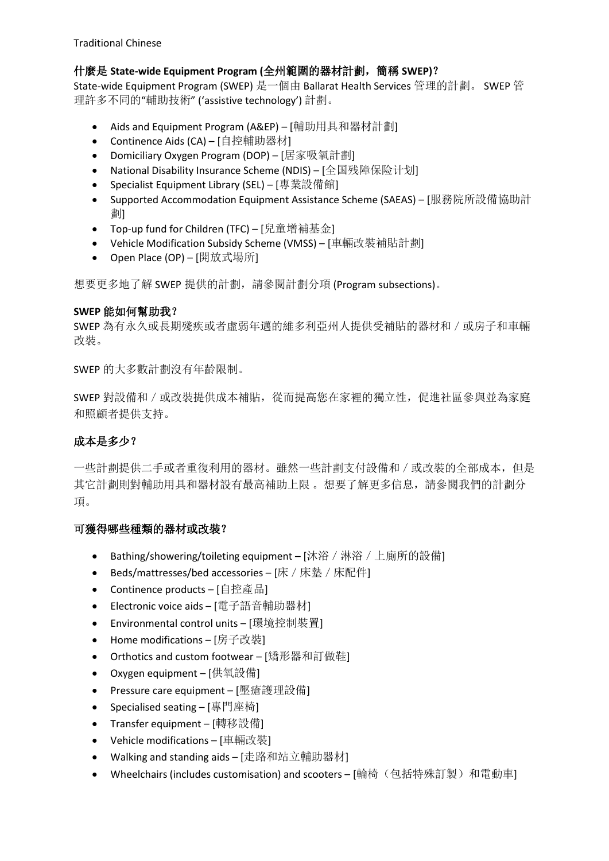Traditional Chinese

# 什麼是 **State-wide Equipment Program (**全州範圍的器材計劃,簡稱 **SWEP)**?

State-wide Equipment Program (SWEP) 是一個由 Ballarat Health Services 管理的計劃。 SWEP 管 理許多不同的"輔助技術" ('assistive technology') 計劃。

- Aids and Equipment Program (A&EP) [輔助用具和器材計劃]
- Continence Aids (CA) [自控輔助器材]
- Domiciliary Oxygen Program (DOP) [居家吸氧計劃]
- National Disability Insurance Scheme (NDIS) [全国残障保险计划]
- Specialist Equipment Library (SEL) [專業設備館]
- Supported Accommodation Equipment Assistance Scheme (SAEAS) [服務院所設備協助計 劃]
- Top-up fund for Children (TFC) [兒童增補基金]
- Vehicle Modification Subsidy Scheme (VMSS) [車輛改裝補貼計劃]
- Open Place (OP) [開放式場所]

想要更多地了解 SWEP 提供的計劃, 請參閱計劃分項 (Program subsections)。

# **SWEP** 能如何幫助我?

SWEP 為有永久或長期殘疾或者虛弱年邁的維多利亞州人提供受補貼的器材和/或房子和車輛 改裝。

SWEP 的大多數計劃沒有年齡限制。

SWEP 對設備和 / 或改裝提供成本補貼, 從而提高您在家裡的獨立性, 促進社區參與並為家庭 和照顧者提供支持。

# 成本是多少?

一些計劃提供二手或者重復利用的器材。雖然一些計劃支付設備和/或改裝的全部成本,但是 其它計劃則對輔助用具和器材設有最高補助上限 。想要了解更多信息,請參閱我們的計劃分 項。

# 可獲得哪些種類的器材或改裝?

- Bathing/showering/toileting equipment [沐浴 / 淋浴 / 上廁所的設備]
- Beds/mattresses/bed accessories [床 / 床墊 / 床配件]
- Continence products [自控產品]
- Electronic voice aids [電子語音輔助器材]
- Environmental control units [環境控制裝置]
- Home modifications [房子改裝]
- Orthotics and custom footwear [矯形器和訂做鞋]
- Oxygen equipment [供氧設備]
- Pressure care equipment [壓瘡護理設備]
- Specialised seating [專門座椅]
- Transfer equipment [轉移設備]
- Vehicle modifications [車輛改裝]
- Walking and standing aids [走路和站立輔助器材]
- Wheelchairs (includes customisation) and scooters [輪椅(包括特殊訂製)和電動車]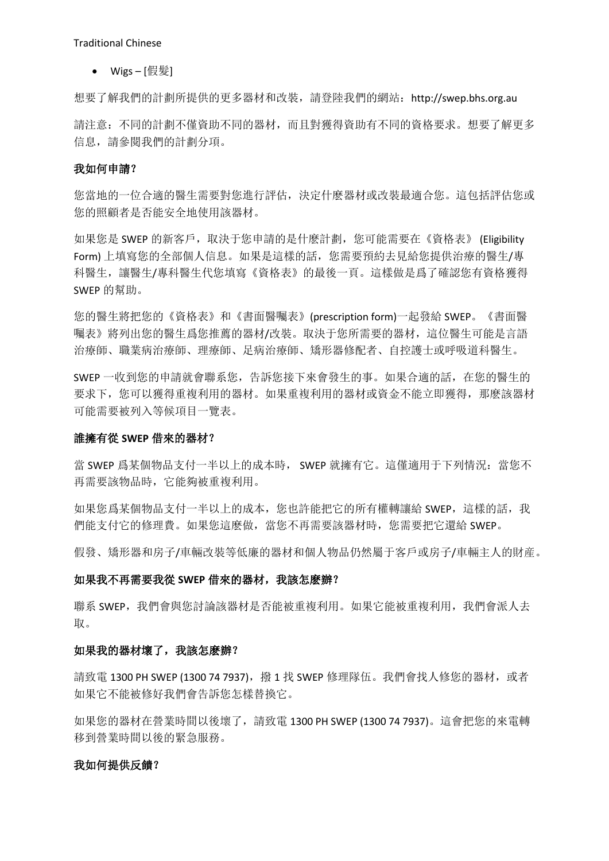$\bullet$  Wigs-[假髪]

想要了解我們的計劃所提供的更多器材和改裝,請登陸我們的網站: http://swep.bhs.org.au

請注意:不同的計劃不僅資助不同的器材,而且對獲得資助有不同的資格要求。想要了解更多 信息,請參閱我們的計劃分項。

## 我如何申請?

您當地的一位合適的醫生需要對您進行評估,決定什麽器材或改裝最適合您。這包括評估您或 您的照顧者是否能安全地使用該器材。

如果您是 SWEP 的新客戶,取決于您申請的是什麽計劃,您可能需要在《資格表》 (Eligibility Form) 上填寫您的全部個人信息。如果是這樣的話,您需要預約去見給您提供治療的醫生/專 科醫生,讓醫生/專科醫生代您填寫《資格表》的最後一頁。這樣做是爲了確認您有資格獲得 SWEP 的幫助。

您的醫生將把您的《資格表》和《書面醫囑表》(prescription form)一起發給 SWEP。《書面醫 囑表》將列出您的醫生爲您推薦的器材/改裝。取決于您所需要的器材,這位醫生可能是言語 治療師、職業病治療師、理療師、足病治療師、矯形器修配者、自控護士或呼吸道科醫生。

SWEP 一收到您的申請就會聯系您,告訴您接下來會發生的事。如果合適的話,在您的醫生的 要求下,您可以獲得重複利用的器材。如果重複利用的器材或資金不能立即獲得,那麽該器材 可能需要被列入等候項目一覽表。

## 誰擁有從 **SWEP** 借來的器材?

當 SWEP 爲某個物品支付一半以上的成本時, SWEP 就擁有它。這僅適用于下列情況: 當您不 再需要該物品時,它能夠被重複利用。

如果您爲某個物品支付一半以上的成本,您也許能把它的所有權轉讓給 SWEP, 這樣的話, 我 們能支付它的修理費。如果您這麽做,當您不再需要該器材時,您需要把它還給 SWEP。

假發、矯形器和房子/車輛改裝等低廉的器材和個人物品仍然屬于客戶或房子/車輛主人的財産。

#### 如果我不再需要我從 **SWEP** 借來的器材,我該怎麽辦?

聯系 SWEP, 我們會與您討論該器材是否能被重複利用。如果它能被重複利用, 我們會派人去 取。

# 如果我的器材壞了,我該怎麽辦?

請致電 1300 PH SWEP (1300 74 7937), 撥 1 找 SWEP 修理隊伍。我們會找人修您的器材, 或者 如果它不能被修好我們會告訴您怎樣替換它。

如果您的器材在營業時間以後壞了,請致電 1300 PH SWEP (1300 74 7937)。這會把您的來電轉 移到營業時間以後的緊急服務。

### 我如何提供反饋?